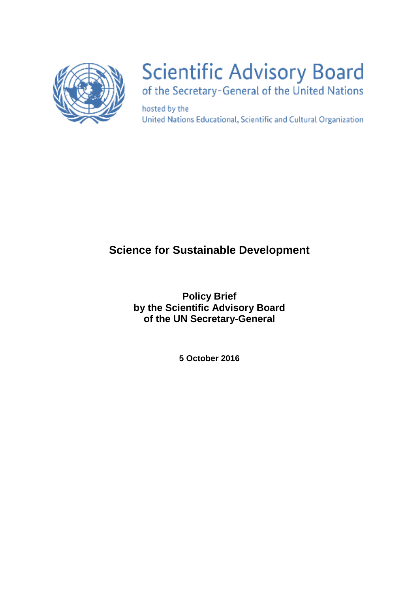

# **Scientific Advisory Board**

of the Secretary-General of the United Nations

hosted by the United Nations Educational, Scientific and Cultural Organization

## **Science for Sustainable Development**

**Policy Brief by the Scientific Advisory Board of the UN Secretary-General**

**5 October 2016**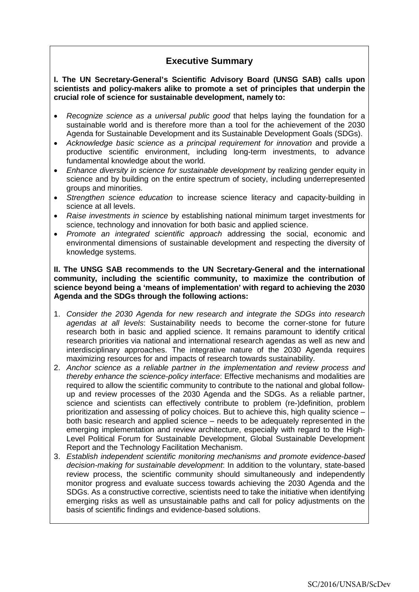### **Executive Summary**

#### **I. The UN Secretary-General's Scientific Advisory Board (UNSG SAB) calls upon scientists and policy-makers alike to promote a set of principles that underpin the crucial role of science for sustainable development, namely to:**

- *Recognize science as a universal public good* that helps laying the foundation for a sustainable world and is therefore more than a tool for the achievement of the 2030 Agenda for Sustainable Development and its Sustainable Development Goals (SDGs).
- *Acknowledge basic science as a principal requirement for innovation* and provide a productive scientific environment, including long-term investments, to advance fundamental knowledge about the world.
- *Enhance diversity in science for sustainable development* by realizing gender equity in science and by building on the entire spectrum of society, including underrepresented groups and minorities.
- *Strengthen science education* to increase science literacy and capacity-building in science at all levels.
- *Raise investments in science* by establishing national minimum target investments for science, technology and innovation for both basic and applied science.
- *Promote an integrated scientific approach* addressing the social, economic and environmental dimensions of sustainable development and respecting the diversity of knowledge systems.

#### **II. The UNSG SAB recommends to the UN Secretary-General and the international community, including the scientific community, to maximize the contribution of science beyond being a 'means of implementation' with regard to achieving the 2030 Agenda and the SDGs through the following actions:**

- 1. *Consider the 2030 Agenda for new research and integrate the SDGs into research agendas at all levels*: Sustainability needs to become the corner-stone for future research both in basic and applied science. It remains paramount to identify critical research priorities via national and international research agendas as well as new and interdisciplinary approaches. The integrative nature of the 2030 Agenda requires maximizing resources for and impacts of research towards sustainability.
- 2. *Anchor science as a reliable partner in the implementation and review process and thereby enhance the science-policy interface*: Effective mechanisms and modalities are required to allow the scientific community to contribute to the national and global followup and review processes of the 2030 Agenda and the SDGs. As a reliable partner, science and scientists can effectively contribute to problem (re-)definition, problem prioritization and assessing of policy choices. But to achieve this, high quality science – both basic research and applied science – needs to be adequately represented in the emerging implementation and review architecture, especially with regard to the High-Level Political Forum for Sustainable Development, Global Sustainable Development Report and the Technology Facilitation Mechanism.
- 3. *Establish independent scientific monitoring mechanisms and promote evidence-based decision-making for sustainable development*: In addition to the voluntary, state-based review process, the scientific community should simultaneously and independently monitor progress and evaluate success towards achieving the 2030 Agenda and the SDGs. As a constructive corrective, scientists need to take the initiative when identifying emerging risks as well as unsustainable paths and call for policy adjustments on the basis of scientific findings and evidence-based solutions.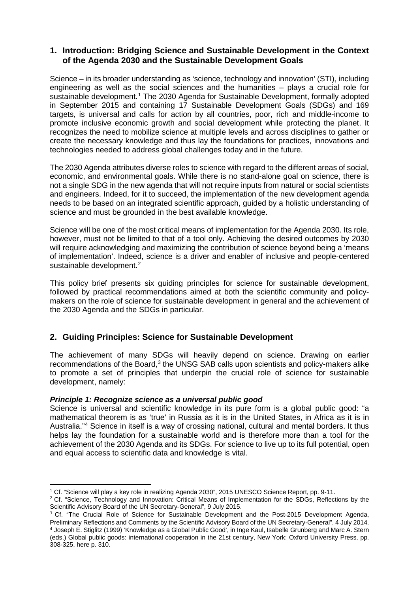#### **1. Introduction: Bridging Science and Sustainable Development in the Context of the Agenda 2030 and the Sustainable Development Goals**

Science – in its broader understanding as 'science, technology and innovation' (STI), including engineering as well as the social sciences and the humanities – plays a crucial role for sustainable development.<sup>[1](#page-2-0)</sup> The 2030 Agenda for Sustainable Development, formally adopted in September 2015 and containing 17 Sustainable Development Goals (SDGs) and 169 targets, is universal and calls for action by all countries, poor, rich and middle-income to promote inclusive economic growth and social development while protecting the planet. It recognizes the need to mobilize science at multiple levels and across disciplines to gather or create the necessary knowledge and thus lay the foundations for practices, innovations and technologies needed to address global challenges today and in the future.

The 2030 Agenda attributes diverse roles to science with regard to the different areas of social, economic, and environmental goals. While there is no stand-alone goal on science, there is not a single SDG in the new agenda that will not require inputs from natural or social scientists and engineers. Indeed, for it to succeed, the implementation of the new development agenda needs to be based on an integrated scientific approach, guided by a holistic understanding of science and must be grounded in the best available knowledge.

Science will be one of the most critical means of implementation for the Agenda 2030. Its role, however, must not be limited to that of a tool only. Achieving the desired outcomes by 2030 will require acknowledging and maximizing the contribution of science beyond being a 'means of implementation'. Indeed, science is a driver and enabler of inclusive and people-centered sustainable development.<sup>[2](#page-2-1)</sup>

This policy brief presents six guiding principles for science for sustainable development, followed by practical recommendations aimed at both the scientific community and policymakers on the role of science for sustainable development in general and the achievement of the 2030 Agenda and the SDGs in particular.

#### **2. Guiding Principles: Science for Sustainable Development**

The achievement of many SDGs will heavily depend on science. Drawing on earlier recommendations of the Board, $3$  the UNSG SAB calls upon scientists and policy-makers alike to promote a set of principles that underpin the crucial role of science for sustainable development, namely:

#### *Principle 1: Recognize science as a universal public good*

<u>.</u>

Science is universal and scientific knowledge in its pure form is a global public good: "a mathematical theorem is as 'true' in Russia as it is in the United States, in Africa as it is in Australia."[4](#page-2-3) Science in itself is a way of crossing national, cultural and mental borders. It thus helps lay the foundation for a sustainable world and is therefore more than a tool for the achievement of the 2030 Agenda and its SDGs. For science to live up to its full potential, open and equal access to scientific data and knowledge is vital.

<sup>1</sup> Cf. "Science will play a key role in realizing Agenda 2030", 2015 UNESCO Science Report, pp. 9-11.

<span id="page-2-1"></span><span id="page-2-0"></span><sup>&</sup>lt;sup>2</sup> Cf. "Science, Technology and Innovation: Critical Means of Implementation for the SDGs, Reflections by the Scientific Advisory Board of the UN Secretary-General", 9 July 2015.

<span id="page-2-3"></span><span id="page-2-2"></span><sup>&</sup>lt;sup>3</sup> Cf. "The Crucial Role of Science for Sustainable Development and the Post-2015 Development Agenda, Preliminary Reflections and Comments by the Scientific Advisory Board of the UN Secretary-General", 4 July 2014. 4 Joseph E. Stiglitz (1999) 'Knowledge as a Global Public Good', in Inge Kaul, Isabelle Grunberg and Marc A. Stern (eds.) Global public goods: international cooperation in the 21st century, New York: Oxford University Press, pp. 308-325, here p. 310.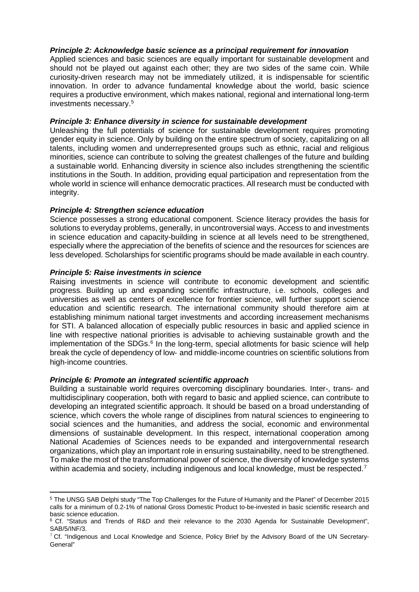#### *Principle 2: Acknowledge basic science as a principal requirement for innovation*

Applied sciences and basic sciences are equally important for sustainable development and should not be played out against each other; they are two sides of the same coin. While curiosity-driven research may not be immediately utilized, it is indispensable for scientific innovation. In order to advance fundamental knowledge about the world, basic science requires a productive environment, which makes national, regional and international long-term investments necessary.[5](#page-3-0)

#### *Principle 3: Enhance diversity in science for sustainable development*

Unleashing the full potentials of science for sustainable development requires promoting gender equity in science. Only by building on the entire spectrum of society, capitalizing on all talents, including women and underrepresented groups such as ethnic, racial and religious minorities, science can contribute to solving the greatest challenges of the future and building a sustainable world. Enhancing diversity in science also includes strengthening the scientific institutions in the South. In addition, providing equal participation and representation from the whole world in science will enhance democratic practices. All research must be conducted with integrity.

#### *Principle 4: Strengthen science education*

Science possesses a strong educational component. Science literacy provides the basis for solutions to everyday problems, generally, in uncontroversial ways. Access to and investments in science education and capacity-building in science at all levels need to be strengthened, especially where the appreciation of the benefits of science and the resources for sciences are less developed. Scholarships for scientific programs should be made available in each country.

#### *Principle 5: Raise investments in science*

<u>.</u>

Raising investments in science will contribute to economic development and scientific progress. Building up and expanding scientific infrastructure, i.e. schools, colleges and universities as well as centers of excellence for frontier science, will further support science education and scientific research. The international community should therefore aim at establishing minimum national target investments and according increasement mechanisms for STI. A balanced allocation of especially public resources in basic and applied science in line with respective national priorities is advisable to achieving sustainable growth and the implementation of the SDGs.<sup>[6](#page-3-1)</sup> In the long-term, special allotments for basic science will help break the cycle of dependency of low‐ and middle‐income countries on scientific solutions from high‐income countries.

#### *Principle 6: Promote an integrated scientific approach*

Building a sustainable world requires overcoming disciplinary boundaries. Inter-, trans- and multidisciplinary cooperation, both with regard to basic and applied science, can contribute to developing an integrated scientific approach. It should be based on a broad understanding of science, which covers the whole range of disciplines from natural sciences to engineering to social sciences and the humanities, and address the social, economic and environmental dimensions of sustainable development. In this respect, international cooperation among National Academies of Sciences needs to be expanded and intergovernmental research organizations, which play an important role in ensuring sustainability, need to be strengthened. To make the most of the transformational power of science, the diversity of knowledge systems within academia and society, including indigenous and local knowledge, must be respected.<sup>[7](#page-3-2)</sup>

<span id="page-3-0"></span><sup>5</sup> The UNSG SAB Delphi study "The Top Challenges for the Future of Humanity and the Planet" of December 2015 calls for a minimum of 0.2-1% of national Gross Domestic Product to-be-invested in basic scientific research and basic science education.

<span id="page-3-1"></span><sup>&</sup>lt;sup>6</sup> Cf. "Status and Trends of R&D and their relevance to the 2030 Agenda for Sustainable Development", SAB/5/INF/3.

<span id="page-3-2"></span> $7$  Cf. "Indigenous and Local Knowledge and Science, Policy Brief by the Advisory Board of the UN Secretary-General"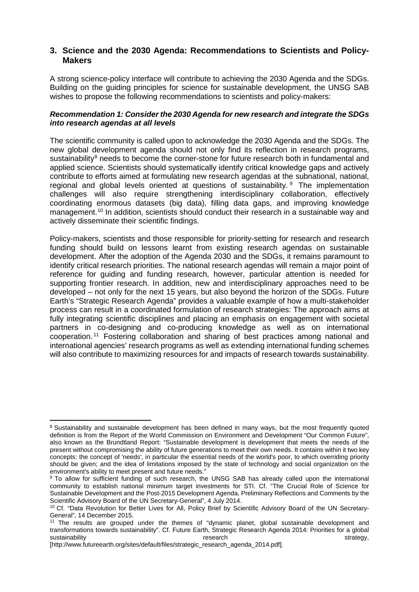#### **3. Science and the 2030 Agenda: Recommendations to Scientists and Policy-Makers**

A strong science-policy interface will contribute to achieving the 2030 Agenda and the SDGs. Building on the guiding principles for science for sustainable development, the UNSG SAB wishes to propose the following recommendations to scientists and policy-makers:

#### *Recommendation 1: Consider the 2030 Agenda for new research and integrate the SDGs into research agendas at all levels*

The scientific community is called upon to acknowledge the 2030 Agenda and the SDGs. The new global development agenda should not only find its reflection in research programs, sustainability<sup>[8](#page-4-0)</sup> needs to become the corner-stone for future research both in fundamental and applied science. Scientists should systematically identify critical knowledge gaps and actively contribute to efforts aimed at formulating new research agendas at the subnational, national, regional and global levels oriented at questions of sustainability.  $9$  The implementation challenges will also require strengthening interdisciplinary collaboration, effectively coordinating enormous datasets (big data), filling data gaps, and improving knowledge management.<sup>[10](#page-4-2)</sup> In addition, scientists should conduct their research in a sustainable way and actively disseminate their scientific findings.

Policy-makers, scientists and those responsible for priority-setting for research and research funding should build on lessons learnt from existing research agendas on sustainable development. After the adoption of the Agenda 2030 and the SDGs, it remains paramount to identify critical research priorities. The national research agendas will remain a major point of reference for guiding and funding research, however, particular attention is needed for supporting frontier research. In addition, new and interdisciplinary approaches need to be developed – not only for the next 15 years, but also beyond the horizon of the SDGs. Future Earth's "Strategic Research Agenda" provides a valuable example of how a multi-stakeholder process can result in a coordinated formulation of research strategies: The approach aims at fully integrating scientific disciplines and placing an emphasis on engagement with societal partners in co-designing and co-producing knowledge as well as on international cooperation. [11](#page-4-3) Fostering collaboration and sharing of best practices among national and international agencies' research programs as well as extending international funding schemes will also contribute to maximizing resources for and impacts of research towards sustainability.

<u>.</u>

<span id="page-4-0"></span><sup>&</sup>lt;sup>8</sup> Sustainability and sustainable development has been defined in many ways, but the most frequently quoted definition is from the Report of the World Commission on Environment and Development "Our Common Future", also known as the Brundtland Report: "Sustainable development is development that meets the needs of the present without compromising the ability of future generations to meet their own needs. It contains within it two key concepts: the concept of 'needs', in particular the essential needs of the world's poor, to which overriding priority should be given; and the idea of limitations imposed by the state of technology and social organization on the environment's ability to meet present and future needs."

<span id="page-4-1"></span><sup>&</sup>lt;sup>9</sup> To allow for sufficient funding of such research, the UNSG SAB has already called upon the international community to establish national minimum target investments for STI. Cf. "The Crucial Role of Science for Sustainable Development and the Post-2015 Development Agenda, Preliminary Reflections and Comments by the Scientific Advisory Board of the UN Secretary-General", 4 July 2014.

<span id="page-4-2"></span><sup>&</sup>lt;sup>10</sup> Cf. "Data Revolution for Better Lives for All, Policy Brief by Scientific Advisory Board of the UN Secretary-General", 14 December 2015.

<span id="page-4-3"></span><sup>&</sup>lt;sup>11</sup> The results are grouped under the themes of "dynamic planet, global sustainable development and transformations towards sustainability". Cf. Future Earth, Strategic Research Agenda 2014: Priorities for a global sustainability research strategy,

<sup>[</sup>http://www.futureearth.org/sites/default/files/strategic\_research\_agenda\_2014.pdf].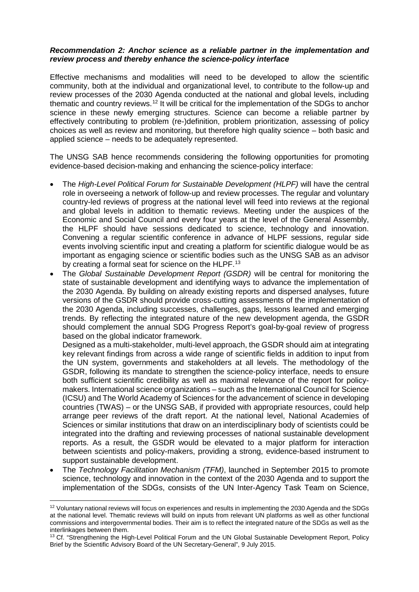#### *Recommendation 2: Anchor science as a reliable partner in the implementation and review process and thereby enhance the science-policy interface*

Effective mechanisms and modalities will need to be developed to allow the scientific community, both at the individual and organizational level, to contribute to the follow-up and review processes of the 2030 Agenda conducted at the national and global levels, including thematic and country reviews.[12](#page-5-0) It will be critical for the implementation of the SDGs to anchor science in these newly emerging structures. Science can become a reliable partner by effectively contributing to problem (re-)definition, problem prioritization, assessing of policy choices as well as review and monitoring, but therefore high quality science – both basic and applied science – needs to be adequately represented.

The UNSG SAB hence recommends considering the following opportunities for promoting evidence-based decision-making and enhancing the science-policy interface:

- The *High-Level Political Forum for Sustainable Development (HLPF)* will have the central role in overseeing a network of follow-up and review processes. The regular and voluntary country-led reviews of progress at the national level will feed into reviews at the regional and global levels in addition to thematic reviews. Meeting under the auspices of the Economic and Social Council and every four years at the level of the General Assembly, the HLPF should have sessions dedicated to science, technology and innovation. Convening a regular scientific conference in advance of HLPF sessions, regular side events involving scientific input and creating a platform for scientific dialogue would be as important as engaging science or scientific bodies such as the UNSG SAB as an advisor by creating a formal seat for science on the HLPF.<sup>[13](#page-5-1)</sup>
- The *Global Sustainable Development Report (GSDR)* will be central for monitoring the state of sustainable development and identifying ways to advance the implementation of the 2030 Agenda. By building on already existing reports and dispersed analyses, future versions of the GSDR should provide cross-cutting assessments of the implementation of the 2030 Agenda, including successes, challenges, gaps, lessons learned and emerging trends. By reflecting the integrated nature of the new development agenda, the GSDR should complement the annual SDG Progress Report's goal-by-goal review of progress based on the global indicator framework.

Designed as a multi-stakeholder, multi-level approach, the GSDR should aim at integrating key relevant findings from across a wide range of scientific fields in addition to input from the UN system, governments and stakeholders at all levels. The methodology of the GSDR, following its mandate to strengthen the science-policy interface, needs to ensure both sufficient scientific credibility as well as maximal relevance of the report for policymakers. International science organizations – such as the International Council for Science (ICSU) and The World Academy of Sciences for the advancement of science in developing countries (TWAS) – or the UNSG SAB, if provided with appropriate resources, could help arrange peer reviews of the draft report. At the national level, National Academies of Sciences or similar institutions that draw on an interdisciplinary body of scientists could be integrated into the drafting and reviewing processes of national sustainable development reports. As a result, the GSDR would be elevated to a major platform for interaction between scientists and policy-makers, providing a strong, evidence-based instrument to support sustainable development.

• The *Technology Facilitation Mechanism (TFM)*, launched in September 2015 to promote science, technology and innovation in the context of the 2030 Agenda and to support the implementation of the SDGs, consists of the UN Inter-Agency Task Team on Science,

 $\overline{a}$ 

<span id="page-5-0"></span><sup>&</sup>lt;sup>12</sup> Voluntary national reviews will focus on experiences and results in implementing the 2030 Agenda and the SDGs at the national level. Thematic reviews will build on inputs from relevant UN platforms as well as other functional commissions and intergovernmental bodies. Their aim is to reflect the integrated nature of the SDGs as well as the interlinkages between them.

<span id="page-5-1"></span><sup>&</sup>lt;sup>13</sup> Cf. "Strengthening the High-Level Political Forum and the UN Global Sustainable Development Report, Policy Brief by the Scientific Advisory Board of the UN Secretary-General", 9 July 2015.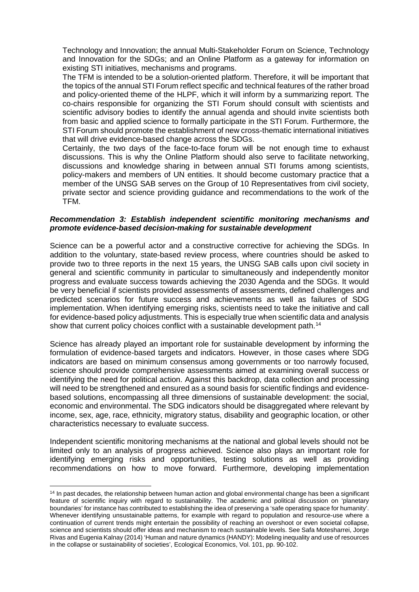Technology and Innovation; the annual Multi-Stakeholder Forum on Science, Technology and Innovation for the SDGs; and an Online Platform as a gateway for information on existing STI initiatives, mechanisms and programs.

The TFM is intended to be a solution-oriented platform. Therefore, it will be important that the topics of the annual STI Forum reflect specific and technical features of the rather broad and policy-oriented theme of the HLPF, which it will inform by a summarizing report. The co-chairs responsible for organizing the STI Forum should consult with scientists and scientific advisory bodies to identify the annual agenda and should invite scientists both from basic and applied science to formally participate in the STI Forum. Furthermore, the STI Forum should promote the establishment of new cross-thematic international initiatives that will drive evidence-based change across the SDGs.

Certainly, the two days of the face-to-face forum will be not enough time to exhaust discussions. This is why the Online Platform should also serve to facilitate networking, discussions and knowledge sharing in between annual STI forums among scientists, policy-makers and members of UN entities. It should become customary practice that a member of the UNSG SAB serves on the Group of 10 Representatives from civil society, private sector and science providing guidance and recommendations to the work of the TFM.

#### *Recommendation 3: Establish independent scientific monitoring mechanisms and promote evidence-based decision-making for sustainable development*

Science can be a powerful actor and a constructive corrective for achieving the SDGs. In addition to the voluntary, state-based review process, where countries should be asked to provide two to three reports in the next 15 years, the UNSG SAB calls upon civil society in general and scientific community in particular to simultaneously and independently monitor progress and evaluate success towards achieving the 2030 Agenda and the SDGs. It would be very beneficial if scientists provided assessments of assessments, defined challenges and predicted scenarios for future success and achievements as well as failures of SDG implementation. When identifying emerging risks, scientists need to take the initiative and call for evidence-based policy adjustments. This is especially true when scientific data and analysis show that current policy choices conflict with a sustainable development path.<sup>[14](#page-6-0)</sup>

Science has already played an important role for sustainable development by informing the formulation of evidence-based targets and indicators. However, in those cases where SDG indicators are based on minimum consensus among governments or too narrowly focused, science should provide comprehensive assessments aimed at examining overall success or identifying the need for political action. Against this backdrop, data collection and processing will need to be strengthened and ensured as a sound basis for scientific findings and evidencebased solutions, encompassing all three dimensions of sustainable development: the social, economic and environmental. The SDG indicators should be disaggregated where relevant by income, sex, age, race, ethnicity, migratory status, disability and geographic location, or other characteristics necessary to evaluate success.

Independent scientific monitoring mechanisms at the national and global levels should not be limited only to an analysis of progress achieved. Science also plays an important role for identifying emerging risks and opportunities, testing solutions as well as providing recommendations on how to move forward. Furthermore, developing implementation

 $\overline{a}$ 

<span id="page-6-0"></span><sup>&</sup>lt;sup>14</sup> In past decades, the relationship between human action and global environmental change has been a significant feature of scientific inquiry with regard to sustainability. The academic and political discussion on 'planetary boundaries' for instance has contributed to establishing the idea of preserving a 'safe operating space for humanity'. Whenever identifying unsustainable patterns, for example with regard to population and resource-use where a continuation of current trends might entertain the possibility of reaching an overshoot or even societal collapse, science and scientists should offer ideas and mechanism to reach sustainable levels. See Safa Motesharrei, Jorge Rivas and Eugenia Kalnay (2014) 'Human and nature dynamics (HANDY): Modeling inequality and use of resources in the collapse or sustainability of societies', Ecological Economics, Vol. 101, pp. 90-102.